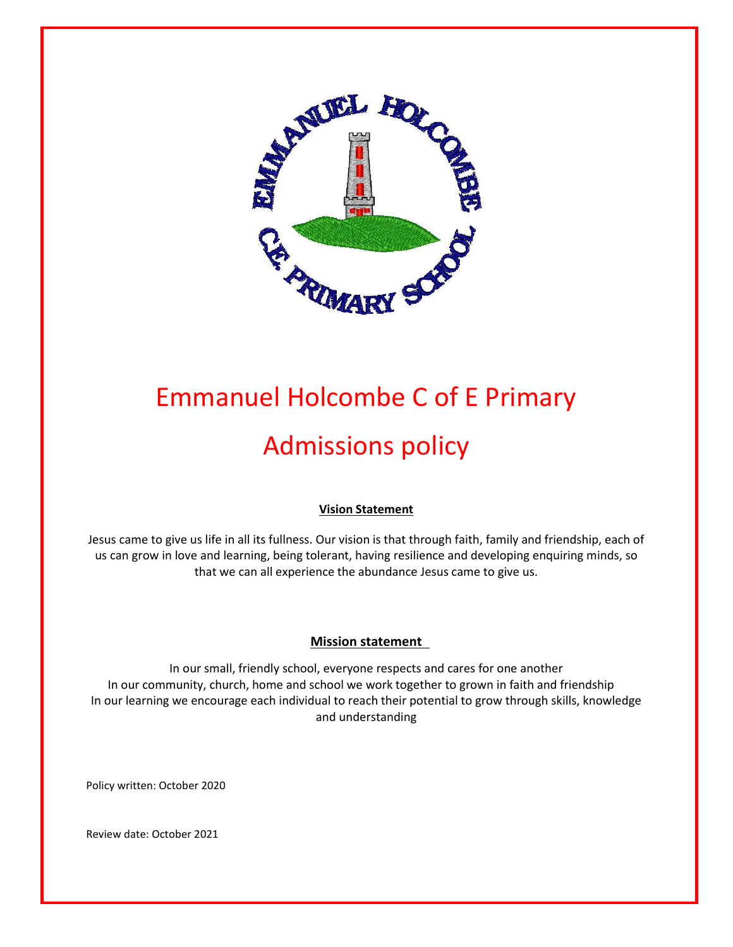

# Emmanuel Holcombe C of E Primary Admissions policy

# **Vision Statement**

Jesus came to give us life in all its fullness. Our vision is that through faith, family and friendship, each of us can grow in love and learning, being tolerant, having resilience and developing enquiring minds, so that we can all experience the abundance Jesus came to give us.

#### **Mission statement**

In our small, friendly school, everyone respects and cares for one another In our community, church, home and school we work together to grown in faith and friendship In our learning we encourage each individual to reach their potential to grow through skills, knowledge and understanding

Policy written: October 2020

Review date: October 2021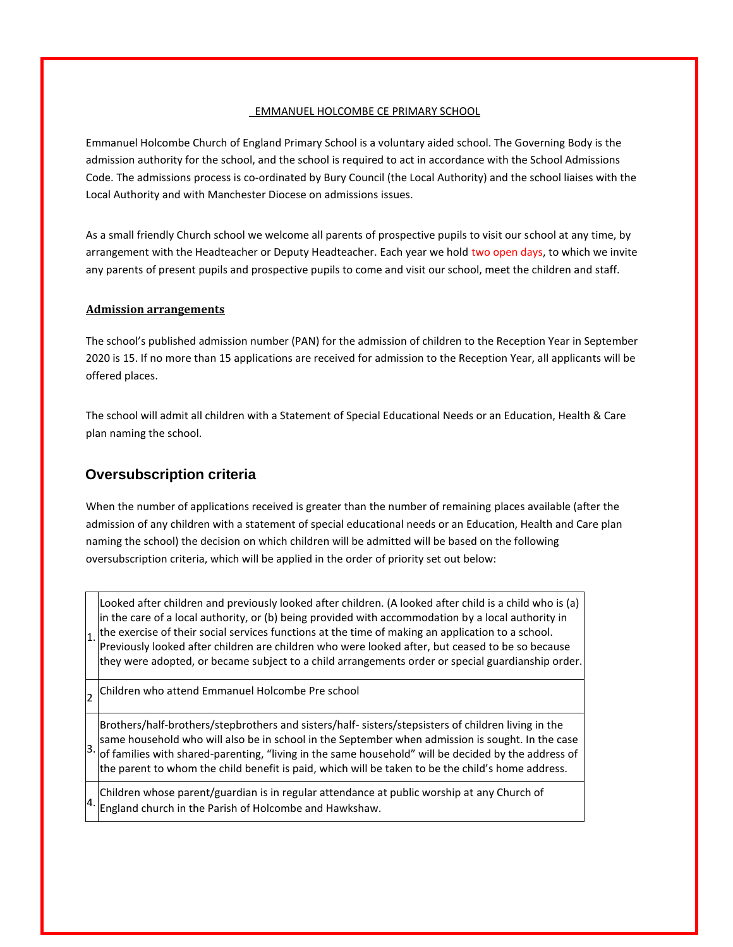#### EMMANUEL HOLCOMBE CE PRIMARY SCHOOL

Emmanuel Holcombe Church of England Primary School is a voluntary aided school. The Governing Body is the admission authority for the school, and the school is required to act in accordance with the School Admissions Code. The admissions process is co-ordinated by Bury Council (the Local Authority) and the school liaises with the Local Authority and with Manchester Diocese on admissions issues.

As a small friendly Church school we welcome all parents of prospective pupils to visit our school at any time, by arrangement with the Headteacher or Deputy Headteacher. Each year we hold two open days, to which we invite any parents of present pupils and prospective pupils to come and visit our school, meet the children and staff.

#### **Admission arrangements**

The school's published admission number (PAN) for the admission of children to the Reception Year in September 2020 is 15. If no more than 15 applications are received for admission to the Reception Year, all applicants will be offered places.

The school will admit all children with a Statement of Special Educational Needs or an Education, Health & Care plan naming the school.

## **Oversubscription criteria**

1.

When the number of applications received is greater than the number of remaining places available (after the admission of any children with a statement of special educational needs or an Education, Health and Care plan naming the school) the decision on which children will be admitted will be based on the following oversubscription criteria, which will be applied in the order of priority set out below:

Looked after children and previously looked after children. (A looked after child is a child who is (a) in the care of a local authority, or (b) being provided with accommodation by a local authority in the exercise of their social services functions at the time of making an application to a school. Previously looked after children are children who were looked after, but ceased to be so because they were adopted, or became subject to a child arrangements order or special guardianship order.

2 Children who attend Emmanuel Holcombe Pre school

3. of families with shared-parenting, "living in the same household" will be decided by the address of Brothers/half-brothers/stepbrothers and sisters/half- sisters/stepsisters of children living in the same household who will also be in school in the September when admission is sought. In the case the parent to whom the child benefit is paid, which will be taken to be the child's home address.

4. Children whose parent/guardian is in regular attendance at public worship at any Church of England church in the Parish of Holcombe and Hawkshaw.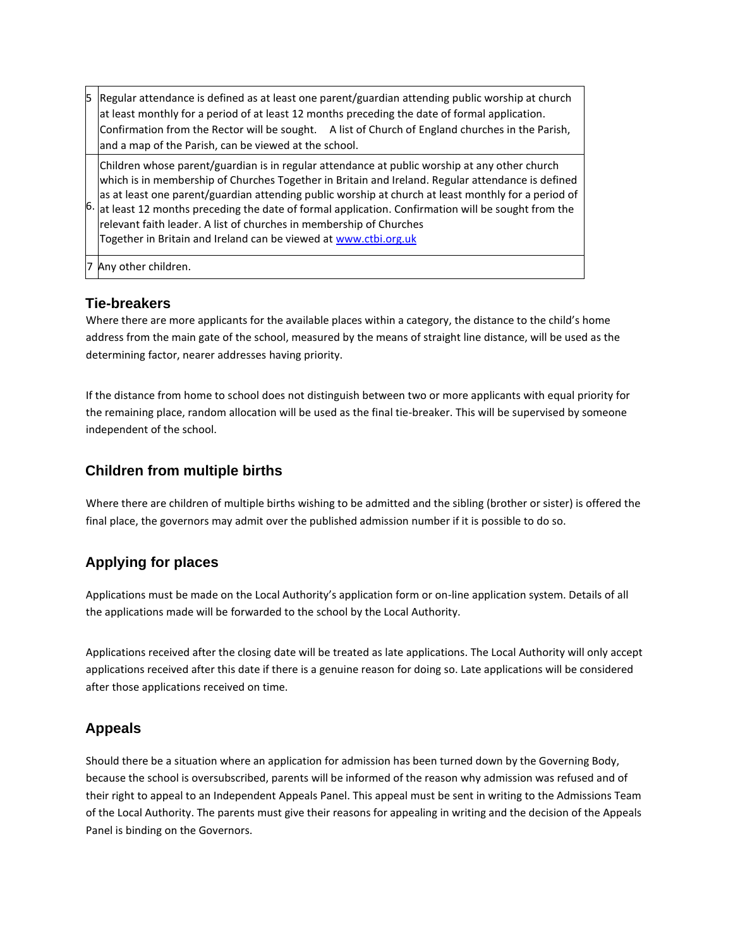Regular attendance is defined as at least one parent/guardian attending public worship at church at least monthly for a period of at least 12 months preceding the date of formal application. Confirmation from the Rector will be sought. A list of Church of England churches in the Parish, and a map of the Parish, can be viewed at the school.

Children whose parent/guardian is in regular attendance at public worship at any other church which is in membership of Churches Together in Britain and Ireland. Regular attendance is defined as at least one parent/guardian attending public worship at church at least monthly for a period of at least 12 months preceding the date of formal application. Confirmation will be sought from the

6. relevant faith leader. A list of churches in membership of Churches Together in Britain and Ireland can be viewed a[t www.ctbi.org.uk](http://www.ctbi.org.uk/)

Any other children.

## **Tie-breakers**

Where there are more applicants for the available places within a category, the distance to the child's home address from the main gate of the school, measured by the means of straight line distance, will be used as the determining factor, nearer addresses having priority.

If the distance from home to school does not distinguish between two or more applicants with equal priority for the remaining place, random allocation will be used as the final tie-breaker. This will be supervised by someone independent of the school.

## **Children from multiple births**

Where there are children of multiple births wishing to be admitted and the sibling (brother or sister) is offered the final place, the governors may admit over the published admission number if it is possible to do so.

# **Applying for places**

Applications must be made on the Local Authority's application form or on-line application system. Details of all the applications made will be forwarded to the school by the Local Authority.

Applications received after the closing date will be treated as late applications. The Local Authority will only accept applications received after this date if there is a genuine reason for doing so. Late applications will be considered after those applications received on time.

# **Appeals**

Should there be a situation where an application for admission has been turned down by the Governing Body, because the school is oversubscribed, parents will be informed of the reason why admission was refused and of their right to appeal to an Independent Appeals Panel. This appeal must be sent in writing to the Admissions Team of the Local Authority. The parents must give their reasons for appealing in writing and the decision of the Appeals Panel is binding on the Governors.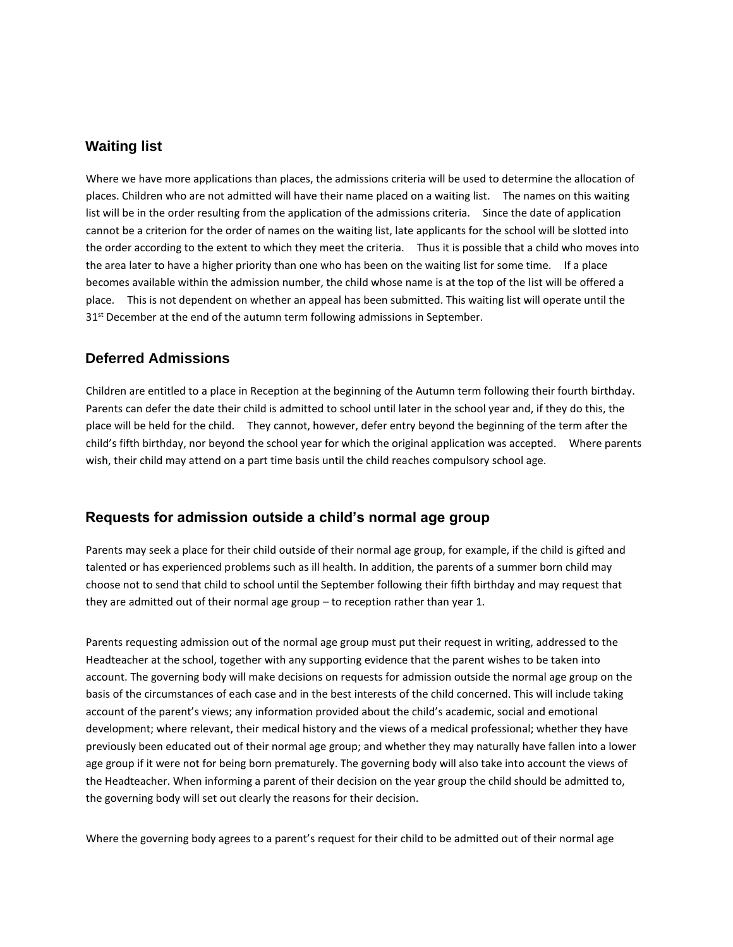#### **Waiting list**

Where we have more applications than places, the admissions criteria will be used to determine the allocation of places. Children who are not admitted will have their name placed on a waiting list. The names on this waiting list will be in the order resulting from the application of the admissions criteria. Since the date of application cannot be a criterion for the order of names on the waiting list, late applicants for the school will be slotted into the order according to the extent to which they meet the criteria. Thus it is possible that a child who moves into the area later to have a higher priority than one who has been on the waiting list for some time. If a place becomes available within the admission number, the child whose name is at the top of the list will be offered a place. This is not dependent on whether an appeal has been submitted. This waiting list will operate until the  $31<sup>st</sup>$  December at the end of the autumn term following admissions in September.

#### **Deferred Admissions**

Children are entitled to a place in Reception at the beginning of the Autumn term following their fourth birthday. Parents can defer the date their child is admitted to school until later in the school year and, if they do this, the place will be held for the child. They cannot, however, defer entry beyond the beginning of the term after the child's fifth birthday, nor beyond the school year for which the original application was accepted. Where parents wish, their child may attend on a part time basis until the child reaches compulsory school age.

#### **Requests for admission outside a child's normal age group**

Parents may seek a place for their child outside of their normal age group, for example, if the child is gifted and talented or has experienced problems such as ill health. In addition, the parents of a summer born child may choose not to send that child to school until the September following their fifth birthday and may request that they are admitted out of their normal age group – to reception rather than year 1.

Parents requesting admission out of the normal age group must put their request in writing, addressed to the Headteacher at the school, together with any supporting evidence that the parent wishes to be taken into account. The governing body will make decisions on requests for admission outside the normal age group on the basis of the circumstances of each case and in the best interests of the child concerned. This will include taking account of the parent's views; any information provided about the child's academic, social and emotional development; where relevant, their medical history and the views of a medical professional; whether they have previously been educated out of their normal age group; and whether they may naturally have fallen into a lower age group if it were not for being born prematurely. The governing body will also take into account the views of the Headteacher. When informing a parent of their decision on the year group the child should be admitted to, the governing body will set out clearly the reasons for their decision.

Where the governing body agrees to a parent's request for their child to be admitted out of their normal age